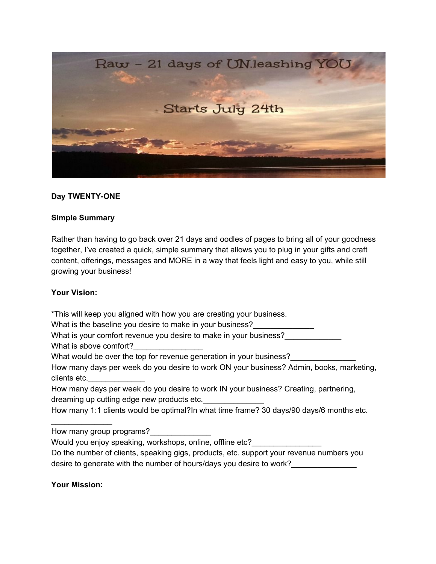

## **Day TWENTY-ONE**

## **Simple Summary**

Rather than having to go back over 21 days and oodles of pages to bring all of your goodness together, I've created a quick, simple summary that allows you to plug in your gifts and craft content, offerings, messages and MORE in a way that feels light and easy to you, while still growing your business!

## **Your Vision:**

\*This will keep you aligned with how you are creating your business. What is the baseline you desire to make in your business?

What is your comfort revenue you desire to make in your business?

What is above comfort?

What would be over the top for revenue generation in your business?

How many days per week do you desire to work ON your business? Admin, books, marketing, clients etc.

How many days per week do you desire to work IN your business? Creating, partnering, dreaming up cutting edge new products etc.

How many 1:1 clients would be optimal?In what time frame? 30 days/90 days/6 months etc.

How many group programs?

Would you enjoy speaking, workshops, online, offline etc?

Do the number of clients, speaking gigs, products, etc. support your revenue numbers you desire to generate with the number of hours/days you desire to work?

**Your Mission:**

 $\mathcal{L}_\text{max}$  , where  $\mathcal{L}_\text{max}$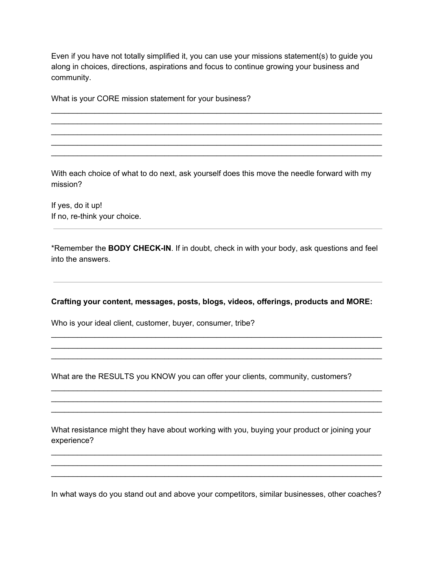Even if you have not totally simplified it, you can use your missions statement(s) to guide you along in choices, directions, aspirations and focus to continue growing your business and community.

\_\_\_\_\_\_\_\_\_\_\_\_\_\_\_\_\_\_\_\_\_\_\_\_\_\_\_\_\_\_\_\_\_\_\_\_\_\_\_\_\_\_\_\_\_\_\_\_\_\_\_\_\_\_\_\_\_\_\_\_\_\_\_\_\_\_\_\_\_\_\_\_\_\_\_\_ \_\_\_\_\_\_\_\_\_\_\_\_\_\_\_\_\_\_\_\_\_\_\_\_\_\_\_\_\_\_\_\_\_\_\_\_\_\_\_\_\_\_\_\_\_\_\_\_\_\_\_\_\_\_\_\_\_\_\_\_\_\_\_\_\_\_\_\_\_\_\_\_\_\_\_\_ \_\_\_\_\_\_\_\_\_\_\_\_\_\_\_\_\_\_\_\_\_\_\_\_\_\_\_\_\_\_\_\_\_\_\_\_\_\_\_\_\_\_\_\_\_\_\_\_\_\_\_\_\_\_\_\_\_\_\_\_\_\_\_\_\_\_\_\_\_\_\_\_\_\_\_\_ \_\_\_\_\_\_\_\_\_\_\_\_\_\_\_\_\_\_\_\_\_\_\_\_\_\_\_\_\_\_\_\_\_\_\_\_\_\_\_\_\_\_\_\_\_\_\_\_\_\_\_\_\_\_\_\_\_\_\_\_\_\_\_\_\_\_\_\_\_\_\_\_\_\_\_\_ \_\_\_\_\_\_\_\_\_\_\_\_\_\_\_\_\_\_\_\_\_\_\_\_\_\_\_\_\_\_\_\_\_\_\_\_\_\_\_\_\_\_\_\_\_\_\_\_\_\_\_\_\_\_\_\_\_\_\_\_\_\_\_\_\_\_\_\_\_\_\_\_\_\_\_\_

What is your CORE mission statement for your business?

With each choice of what to do next, ask yourself does this move the needle forward with my mission?

If yes, do it up! If no, re-think your choice.

\*Remember the **BODY CHECK-IN**. If in doubt, check in with your body, ask questions and feel into the answers.

## **Crafting your content, messages, posts, blogs, videos, offerings, products and MORE:**

\_\_\_\_\_\_\_\_\_\_\_\_\_\_\_\_\_\_\_\_\_\_\_\_\_\_\_\_\_\_\_\_\_\_\_\_\_\_\_\_\_\_\_\_\_\_\_\_\_\_\_\_\_\_\_\_\_\_\_\_\_\_\_\_\_\_\_\_\_\_\_\_\_\_\_\_ \_\_\_\_\_\_\_\_\_\_\_\_\_\_\_\_\_\_\_\_\_\_\_\_\_\_\_\_\_\_\_\_\_\_\_\_\_\_\_\_\_\_\_\_\_\_\_\_\_\_\_\_\_\_\_\_\_\_\_\_\_\_\_\_\_\_\_\_\_\_\_\_\_\_\_\_ \_\_\_\_\_\_\_\_\_\_\_\_\_\_\_\_\_\_\_\_\_\_\_\_\_\_\_\_\_\_\_\_\_\_\_\_\_\_\_\_\_\_\_\_\_\_\_\_\_\_\_\_\_\_\_\_\_\_\_\_\_\_\_\_\_\_\_\_\_\_\_\_\_\_\_\_

\_\_\_\_\_\_\_\_\_\_\_\_\_\_\_\_\_\_\_\_\_\_\_\_\_\_\_\_\_\_\_\_\_\_\_\_\_\_\_\_\_\_\_\_\_\_\_\_\_\_\_\_\_\_\_\_\_\_\_\_\_\_\_\_\_\_\_\_\_\_\_\_\_\_\_\_ \_\_\_\_\_\_\_\_\_\_\_\_\_\_\_\_\_\_\_\_\_\_\_\_\_\_\_\_\_\_\_\_\_\_\_\_\_\_\_\_\_\_\_\_\_\_\_\_\_\_\_\_\_\_\_\_\_\_\_\_\_\_\_\_\_\_\_\_\_\_\_\_\_\_\_\_ \_\_\_\_\_\_\_\_\_\_\_\_\_\_\_\_\_\_\_\_\_\_\_\_\_\_\_\_\_\_\_\_\_\_\_\_\_\_\_\_\_\_\_\_\_\_\_\_\_\_\_\_\_\_\_\_\_\_\_\_\_\_\_\_\_\_\_\_\_\_\_\_\_\_\_\_

Who is your ideal client, customer, buyer, consumer, tribe?

What are the RESULTS you KNOW you can offer your clients, community, customers?

What resistance might they have about working with you, buying your product or joining your experience?

\_\_\_\_\_\_\_\_\_\_\_\_\_\_\_\_\_\_\_\_\_\_\_\_\_\_\_\_\_\_\_\_\_\_\_\_\_\_\_\_\_\_\_\_\_\_\_\_\_\_\_\_\_\_\_\_\_\_\_\_\_\_\_\_\_\_\_\_\_\_\_\_\_\_\_\_ \_\_\_\_\_\_\_\_\_\_\_\_\_\_\_\_\_\_\_\_\_\_\_\_\_\_\_\_\_\_\_\_\_\_\_\_\_\_\_\_\_\_\_\_\_\_\_\_\_\_\_\_\_\_\_\_\_\_\_\_\_\_\_\_\_\_\_\_\_\_\_\_\_\_\_\_ \_\_\_\_\_\_\_\_\_\_\_\_\_\_\_\_\_\_\_\_\_\_\_\_\_\_\_\_\_\_\_\_\_\_\_\_\_\_\_\_\_\_\_\_\_\_\_\_\_\_\_\_\_\_\_\_\_\_\_\_\_\_\_\_\_\_\_\_\_\_\_\_\_\_\_\_

In what ways do you stand out and above your competitors, similar businesses, other coaches?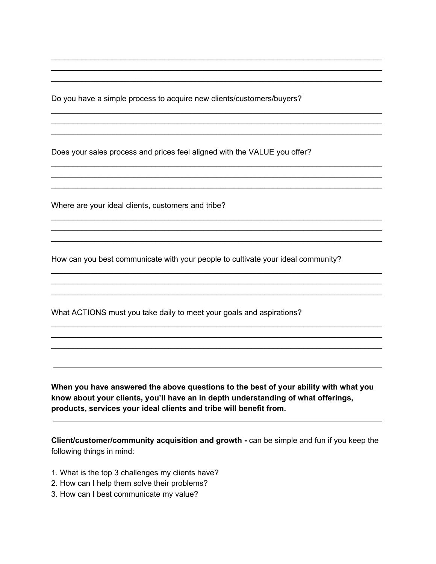Do you have a simple process to acquire new clients/customers/buyers?

\_\_\_\_\_\_\_\_\_\_\_\_\_\_\_\_\_\_\_\_\_\_\_\_\_\_\_\_\_\_\_\_\_\_\_\_\_\_\_\_\_\_\_\_\_\_\_\_\_\_\_\_\_\_\_\_\_\_\_\_\_\_\_\_\_\_\_\_\_\_\_\_\_\_\_\_ \_\_\_\_\_\_\_\_\_\_\_\_\_\_\_\_\_\_\_\_\_\_\_\_\_\_\_\_\_\_\_\_\_\_\_\_\_\_\_\_\_\_\_\_\_\_\_\_\_\_\_\_\_\_\_\_\_\_\_\_\_\_\_\_\_\_\_\_\_\_\_\_\_\_\_\_ \_\_\_\_\_\_\_\_\_\_\_\_\_\_\_\_\_\_\_\_\_\_\_\_\_\_\_\_\_\_\_\_\_\_\_\_\_\_\_\_\_\_\_\_\_\_\_\_\_\_\_\_\_\_\_\_\_\_\_\_\_\_\_\_\_\_\_\_\_\_\_\_\_\_\_\_

\_\_\_\_\_\_\_\_\_\_\_\_\_\_\_\_\_\_\_\_\_\_\_\_\_\_\_\_\_\_\_\_\_\_\_\_\_\_\_\_\_\_\_\_\_\_\_\_\_\_\_\_\_\_\_\_\_\_\_\_\_\_\_\_\_\_\_\_\_\_\_\_\_\_\_\_ \_\_\_\_\_\_\_\_\_\_\_\_\_\_\_\_\_\_\_\_\_\_\_\_\_\_\_\_\_\_\_\_\_\_\_\_\_\_\_\_\_\_\_\_\_\_\_\_\_\_\_\_\_\_\_\_\_\_\_\_\_\_\_\_\_\_\_\_\_\_\_\_\_\_\_\_ \_\_\_\_\_\_\_\_\_\_\_\_\_\_\_\_\_\_\_\_\_\_\_\_\_\_\_\_\_\_\_\_\_\_\_\_\_\_\_\_\_\_\_\_\_\_\_\_\_\_\_\_\_\_\_\_\_\_\_\_\_\_\_\_\_\_\_\_\_\_\_\_\_\_\_\_

\_\_\_\_\_\_\_\_\_\_\_\_\_\_\_\_\_\_\_\_\_\_\_\_\_\_\_\_\_\_\_\_\_\_\_\_\_\_\_\_\_\_\_\_\_\_\_\_\_\_\_\_\_\_\_\_\_\_\_\_\_\_\_\_\_\_\_\_\_\_\_\_\_\_\_\_ \_\_\_\_\_\_\_\_\_\_\_\_\_\_\_\_\_\_\_\_\_\_\_\_\_\_\_\_\_\_\_\_\_\_\_\_\_\_\_\_\_\_\_\_\_\_\_\_\_\_\_\_\_\_\_\_\_\_\_\_\_\_\_\_\_\_\_\_\_\_\_\_\_\_\_\_

\_\_\_\_\_\_\_\_\_\_\_\_\_\_\_\_\_\_\_\_\_\_\_\_\_\_\_\_\_\_\_\_\_\_\_\_\_\_\_\_\_\_\_\_\_\_\_\_\_\_\_\_\_\_\_\_\_\_\_\_\_\_\_\_\_\_\_\_\_\_\_\_\_\_\_\_ \_\_\_\_\_\_\_\_\_\_\_\_\_\_\_\_\_\_\_\_\_\_\_\_\_\_\_\_\_\_\_\_\_\_\_\_\_\_\_\_\_\_\_\_\_\_\_\_\_\_\_\_\_\_\_\_\_\_\_\_\_\_\_\_\_\_\_\_\_\_\_\_\_\_\_\_ \_\_\_\_\_\_\_\_\_\_\_\_\_\_\_\_\_\_\_\_\_\_\_\_\_\_\_\_\_\_\_\_\_\_\_\_\_\_\_\_\_\_\_\_\_\_\_\_\_\_\_\_\_\_\_\_\_\_\_\_\_\_\_\_\_\_\_\_\_\_\_\_\_\_\_\_

\_\_\_\_\_\_\_\_\_\_\_\_\_\_\_\_\_\_\_\_\_\_\_\_\_\_\_\_\_\_\_\_\_\_\_\_\_\_\_\_\_\_\_\_\_\_\_\_\_\_\_\_\_\_\_\_\_\_\_\_\_\_\_\_\_\_\_\_\_\_\_\_\_\_\_\_ \_\_\_\_\_\_\_\_\_\_\_\_\_\_\_\_\_\_\_\_\_\_\_\_\_\_\_\_\_\_\_\_\_\_\_\_\_\_\_\_\_\_\_\_\_\_\_\_\_\_\_\_\_\_\_\_\_\_\_\_\_\_\_\_\_\_\_\_\_\_\_\_\_\_\_\_ \_\_\_\_\_\_\_\_\_\_\_\_\_\_\_\_\_\_\_\_\_\_\_\_\_\_\_\_\_\_\_\_\_\_\_\_\_\_\_\_\_\_\_\_\_\_\_\_\_\_\_\_\_\_\_\_\_\_\_\_\_\_\_\_\_\_\_\_\_\_\_\_\_\_\_\_

\_\_\_\_\_\_\_\_\_\_\_\_\_\_\_\_\_\_\_\_\_\_\_\_\_\_\_\_\_\_\_\_\_\_\_\_\_\_\_\_\_\_\_\_\_\_\_\_\_\_\_\_\_\_\_\_\_\_\_\_\_\_\_\_\_\_\_\_\_\_\_\_\_\_\_\_ \_\_\_\_\_\_\_\_\_\_\_\_\_\_\_\_\_\_\_\_\_\_\_\_\_\_\_\_\_\_\_\_\_\_\_\_\_\_\_\_\_\_\_\_\_\_\_\_\_\_\_\_\_\_\_\_\_\_\_\_\_\_\_\_\_\_\_\_\_\_\_\_\_\_\_\_ \_\_\_\_\_\_\_\_\_\_\_\_\_\_\_\_\_\_\_\_\_\_\_\_\_\_\_\_\_\_\_\_\_\_\_\_\_\_\_\_\_\_\_\_\_\_\_\_\_\_\_\_\_\_\_\_\_\_\_\_\_\_\_\_\_\_\_\_\_\_\_\_\_\_\_\_

Does your sales process and prices feel aligned with the VALUE you offer?

Where are your ideal clients, customers and tribe?

How can you best communicate with your people to cultivate your ideal community?

What ACTIONS must you take daily to meet your goals and aspirations?

**When you have answered the above questions to the best of your ability with what you know about your clients, you'll have an in depth understanding of what offerings, products, services your ideal clients and tribe will benefit from.**

**Client/customer/community acquisition and growth -** c an be simple and fun if you keep the following things in mind:

- 1. What is the top 3 challenges my clients have?
- 2. How can I help them solve their problems?
- 3. How can I best communicate my value?